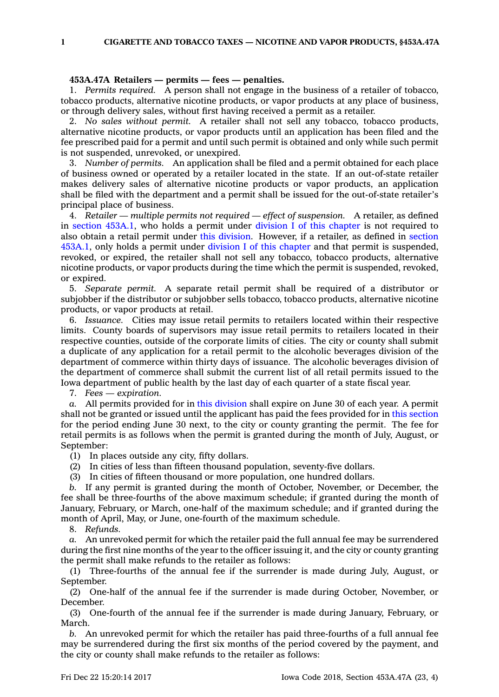**1 CIGARETTE AND TOBACCO TAXES — NICOTINE AND VAPOR PRODUCTS, §453A.47A**

## **453A.47A Retailers — permits — fees — penalties.**

1. *Permits required.* A person shall not engage in the business of <sup>a</sup> retailer of tobacco, tobacco products, alternative nicotine products, or vapor products at any place of business, or through delivery sales, without first having received <sup>a</sup> permit as <sup>a</sup> retailer.

2. *No sales without permit.* A retailer shall not sell any tobacco, tobacco products, alternative nicotine products, or vapor products until an application has been filed and the fee prescribed paid for <sup>a</sup> permit and until such permit is obtained and only while such permit is not suspended, unrevoked, or unexpired.

3. *Number of permits.* An application shall be filed and <sup>a</sup> permit obtained for each place of business owned or operated by <sup>a</sup> retailer located in the state. If an out-of-state retailer makes delivery sales of alternative nicotine products or vapor products, an application shall be filed with the department and <sup>a</sup> permit shall be issued for the out-of-state retailer's principal place of business.

4. *Retailer — multiple permits not required — effect of suspension.* A retailer, as defined in section [453A.1](https://www.legis.iowa.gov/docs/code/453A.1.pdf), who holds <sup>a</sup> permit under division I of this [chapter](https://www.legis.iowa.gov/docs/code//453A.pdf) is not required to also obtain <sup>a</sup> retail permit under this [division](https://www.legis.iowa.gov/docs/code//453A.pdf). However, if <sup>a</sup> retailer, as defined in [section](https://www.legis.iowa.gov/docs/code/453A.1.pdf) [453A.1](https://www.legis.iowa.gov/docs/code/453A.1.pdf), only holds <sup>a</sup> permit under division I of this [chapter](https://www.legis.iowa.gov/docs/code//453A.pdf) and that permit is suspended, revoked, or expired, the retailer shall not sell any tobacco, tobacco products, alternative nicotine products, or vapor products during the time which the permit is suspended, revoked, or expired.

5. *Separate permit.* A separate retail permit shall be required of <sup>a</sup> distributor or subjobber if the distributor or subjobber sells tobacco, tobacco products, alternative nicotine products, or vapor products at retail.

6. *Issuance.* Cities may issue retail permits to retailers located within their respective limits. County boards of supervisors may issue retail permits to retailers located in their respective counties, outside of the corporate limits of cities. The city or county shall submit <sup>a</sup> duplicate of any application for <sup>a</sup> retail permit to the alcoholic beverages division of the department of commerce within thirty days of issuance. The alcoholic beverages division of the department of commerce shall submit the current list of all retail permits issued to the Iowa department of public health by the last day of each quarter of <sup>a</sup> state fiscal year.

7. *Fees — expiration.*

*a.* All permits provided for in this [division](https://www.legis.iowa.gov/docs/code//453A.pdf) shall expire on June 30 of each year. A permit shall not be granted or issued until the applicant has paid the fees provided for in this [section](https://www.legis.iowa.gov/docs/code/453A.47A.pdf) for the period ending June 30 next, to the city or county granting the permit. The fee for retail permits is as follows when the permit is granted during the month of July, August, or September:

(1) In places outside any city, fifty dollars.

(2) In cities of less than fifteen thousand population, seventy-five dollars.

(3) In cities of fifteen thousand or more population, one hundred dollars.

*b.* If any permit is granted during the month of October, November, or December, the fee shall be three-fourths of the above maximum schedule; if granted during the month of January, February, or March, one-half of the maximum schedule; and if granted during the month of April, May, or June, one-fourth of the maximum schedule.

8. *Refunds.*

*a.* An unrevoked permit for which the retailer paid the full annual fee may be surrendered during the first nine months of the year to the officer issuing it, and the city or county granting the permit shall make refunds to the retailer as follows:

(1) Three-fourths of the annual fee if the surrender is made during July, August, or September.

(2) One-half of the annual fee if the surrender is made during October, November, or December.

(3) One-fourth of the annual fee if the surrender is made during January, February, or March.

*b.* An unrevoked permit for which the retailer has paid three-fourths of <sup>a</sup> full annual fee may be surrendered during the first six months of the period covered by the payment, and the city or county shall make refunds to the retailer as follows: